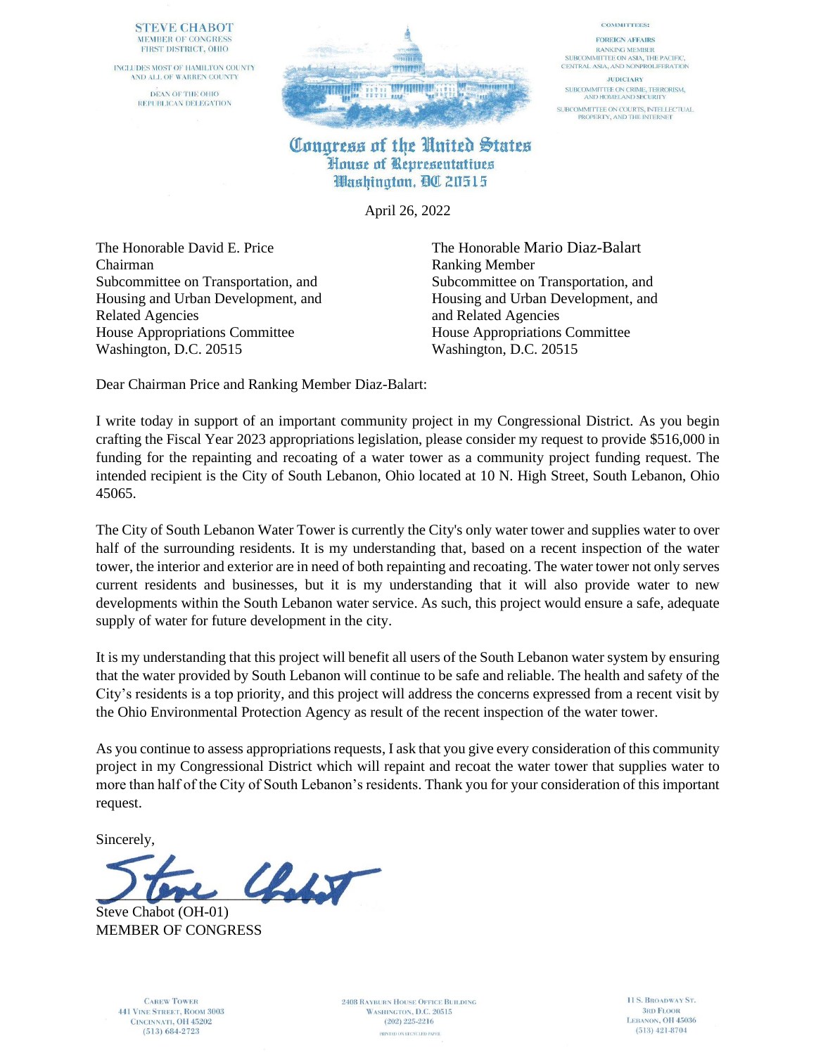## **STEVE CHABOT** MEMBER OF CONGRESS FIRST DISTRICT, OHIO

INCLUDES MOST OF HAMILTON COUNTY AND ALL OF WARREN COUNTY DEAN OF THE OHIO REPUBLICAN DELEGATION



## **COMMITTEES:**

**FOREIGN AFFAIRS RANKING MEMBER** SUBCOMMITTEE ON ASIA, THE PACIFIC, CENTRAL ASIA, AND NONPROLIFERATION

**JUDICIARY** SUBCOMMITTEE ON CRIME, TERRORISM,<br>AND HOMELAND SECURITY SUBCOMMITTEE ON COURTS, INTELLECTUAL<br>PROPERTY, AND THE INTERNET

Congress of the United States House of Representatives Washington, QC 20515

April 26, 2022

The Honorable David E. Price The Honorable Mario Diaz-Balart Chairman Ranking Member Related Agencies and Related Agencies House Appropriations Committee House Appropriations Committee Washington, D.C. 20515 Washington, D.C. 20515

Subcommittee on Transportation, and Subcommittee on Transportation, and Housing and Urban Development, and Housing and Urban Development, and

Dear Chairman Price and Ranking Member Diaz-Balart:

I write today in support of an important community project in my Congressional District. As you begin crafting the Fiscal Year 2023 appropriations legislation, please consider my request to provide \$516,000 in funding for the repainting and recoating of a water tower as a community project funding request. The intended recipient is the City of South Lebanon, Ohio located at 10 N. High Street, South Lebanon, Ohio 45065.

The City of South Lebanon Water Tower is currently the City's only water tower and supplies water to over half of the surrounding residents. It is my understanding that, based on a recent inspection of the water tower, the interior and exterior are in need of both repainting and recoating. The water tower not only serves current residents and businesses, but it is my understanding that it will also provide water to new developments within the South Lebanon water service. As such, this project would ensure a safe, adequate supply of water for future development in the city.

It is my understanding that this project will benefit all users of the South Lebanon water system by ensuring that the water provided by South Lebanon will continue to be safe and reliable. The health and safety of the City's residents is a top priority, and this project will address the concerns expressed from a recent visit by the Ohio Environmental Protection Agency as result of the recent inspection of the water tower.

As you continue to assess appropriations requests, I ask that you give every consideration of this community project in my Congressional District which will repaint and recoat the water tower that supplies water to more than half of the City of South Lebanon's residents. Thank you for your consideration of this important request.

Sincerely,

 $\mathcal{L}$ 

Steve Chabot (OH-01) MEMBER OF CONGRESS

**CAREW TOWER 441 VINE STREET, ROOM 3003** CINCINNATI, OH 45202  $(513) 684 - 2723$ 

**2408 RAYBURN HOUSE OFFICE BUILDING** WASHINGTON, D.C. 20515  $(202)$  225-2216 PRINTED ON RECYCLED PAPER

11 S. BROADWAY ST. **3RD FLOOR** LEBANON, OH 45036  $(513)$  421-8704